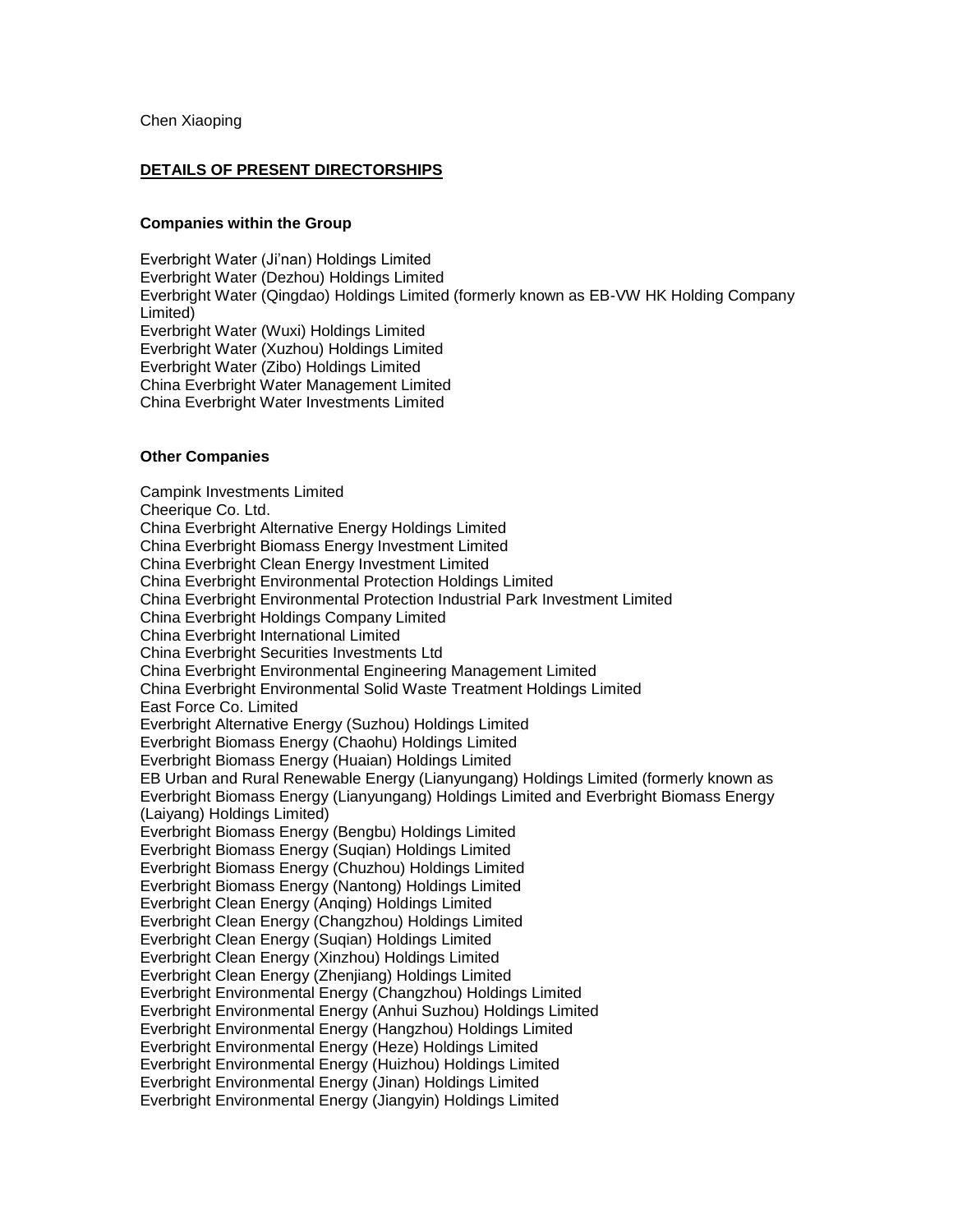## **DETAILS OF PRESENT DIRECTORSHIPS**

## **Companies within the Group**

Everbright Water (Ji'nan) Holdings Limited Everbright Water (Dezhou) Holdings Limited Everbright Water (Qingdao) Holdings Limited (formerly known as EB-VW HK Holding Company Limited) Everbright Water (Wuxi) Holdings Limited Everbright Water (Xuzhou) Holdings Limited Everbright Water (Zibo) Holdings Limited China Everbright Water Management Limited China Everbright Water Investments Limited

## **Other Companies**

Campink Investments Limited Cheerique Co. Ltd. China Everbright Alternative Energy Holdings Limited China Everbright Biomass Energy Investment Limited China Everbright Clean Energy Investment Limited China Everbright Environmental Protection Holdings Limited China Everbright Environmental Protection Industrial Park Investment Limited China Everbright Holdings Company Limited China Everbright International Limited China Everbright Securities Investments Ltd China Everbright Environmental Engineering Management Limited China Everbright Environmental Solid Waste Treatment Holdings Limited East Force Co. Limited Everbright Alternative Energy (Suzhou) Holdings Limited Everbright Biomass Energy (Chaohu) Holdings Limited Everbright Biomass Energy (Huaian) Holdings Limited EB Urban and Rural Renewable Energy (Lianyungang) Holdings Limited (formerly known as Everbright Biomass Energy (Lianyungang) Holdings Limited and Everbright Biomass Energy (Laiyang) Holdings Limited) Everbright Biomass Energy (Bengbu) Holdings Limited Everbright Biomass Energy (Suqian) Holdings Limited Everbright Biomass Energy (Chuzhou) Holdings Limited Everbright Biomass Energy (Nantong) Holdings Limited Everbright Clean Energy (Anqing) Holdings Limited Everbright Clean Energy (Changzhou) Holdings Limited Everbright Clean Energy (Suqian) Holdings Limited Everbright Clean Energy (Xinzhou) Holdings Limited Everbright Clean Energy (Zhenjiang) Holdings Limited Everbright Environmental Energy (Changzhou) Holdings Limited Everbright Environmental Energy (Anhui Suzhou) Holdings Limited Everbright Environmental Energy (Hangzhou) Holdings Limited Everbright Environmental Energy (Heze) Holdings Limited Everbright Environmental Energy (Huizhou) Holdings Limited Everbright Environmental Energy (Jinan) Holdings Limited Everbright Environmental Energy (Jiangyin) Holdings Limited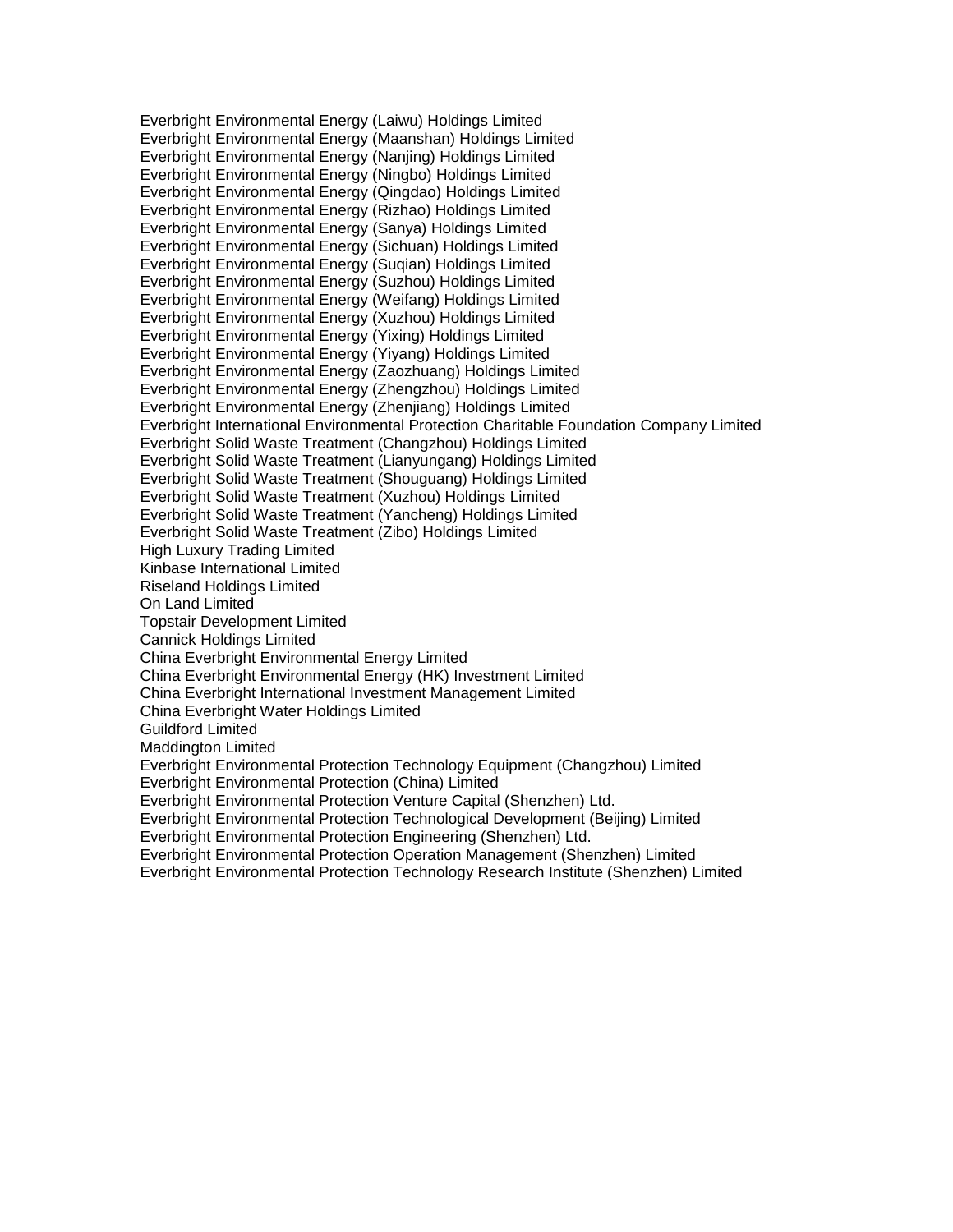Everbright Environmental Energy (Laiwu) Holdings Limited Everbright Environmental Energy (Maanshan) Holdings Limited Everbright Environmental Energy (Nanjing) Holdings Limited Everbright Environmental Energy (Ningbo) Holdings Limited Everbright Environmental Energy (Qingdao) Holdings Limited Everbright Environmental Energy (Rizhao) Holdings Limited Everbright Environmental Energy (Sanya) Holdings Limited Everbright Environmental Energy (Sichuan) Holdings Limited Everbright Environmental Energy (Suqian) Holdings Limited Everbright Environmental Energy (Suzhou) Holdings Limited Everbright Environmental Energy (Weifang) Holdings Limited Everbright Environmental Energy (Xuzhou) Holdings Limited Everbright Environmental Energy (Yixing) Holdings Limited Everbright Environmental Energy (Yiyang) Holdings Limited Everbright Environmental Energy (Zaozhuang) Holdings Limited Everbright Environmental Energy (Zhengzhou) Holdings Limited Everbright Environmental Energy (Zhenjiang) Holdings Limited Everbright International Environmental Protection Charitable Foundation Company Limited Everbright Solid Waste Treatment (Changzhou) Holdings Limited Everbright Solid Waste Treatment (Lianyungang) Holdings Limited Everbright Solid Waste Treatment (Shouguang) Holdings Limited Everbright Solid Waste Treatment (Xuzhou) Holdings Limited Everbright Solid Waste Treatment (Yancheng) Holdings Limited Everbright Solid Waste Treatment (Zibo) Holdings Limited High Luxury Trading Limited Kinbase International Limited Riseland Holdings Limited On Land Limited Topstair Development Limited Cannick Holdings Limited China Everbright Environmental Energy Limited China Everbright Environmental Energy (HK) Investment Limited China Everbright International Investment Management Limited China Everbright Water Holdings Limited Guildford Limited Maddington Limited Everbright Environmental Protection Technology Equipment (Changzhou) Limited Everbright Environmental Protection (China) Limited Everbright Environmental Protection Venture Capital (Shenzhen) Ltd. Everbright Environmental Protection Technological Development (Beijing) Limited Everbright Environmental Protection Engineering (Shenzhen) Ltd. Everbright Environmental Protection Operation Management (Shenzhen) Limited Everbright Environmental Protection Technology Research Institute (Shenzhen) Limited